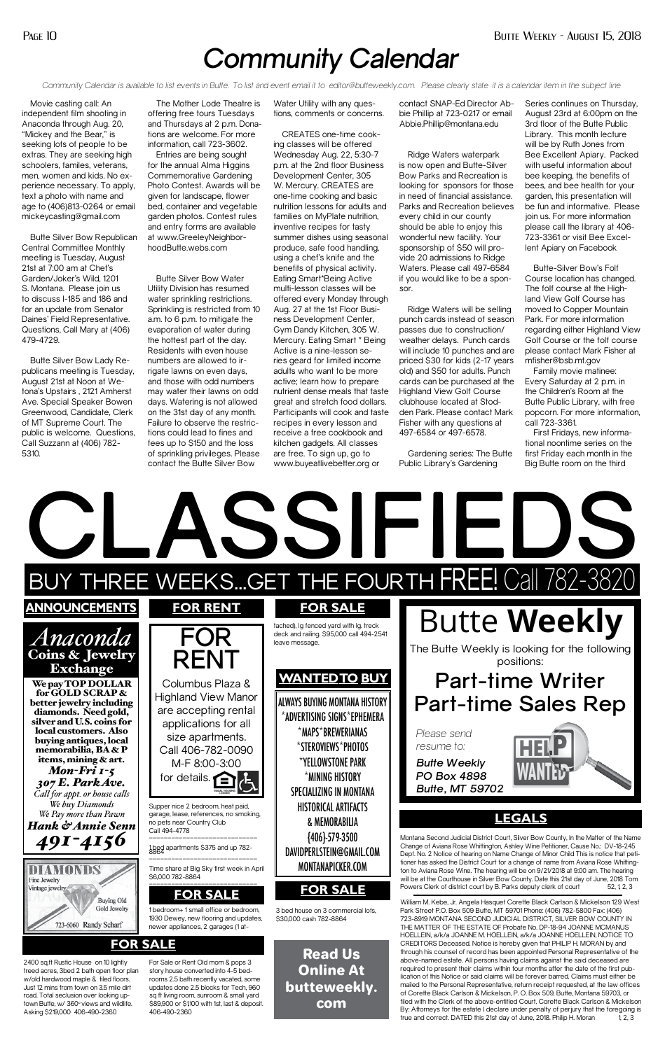# *Community Calendar*

*Community Calendar is available to list events in Butte. To list and event email it to editor@butteweekly.com. Please clearly state it is a calendar item in the subject line*

Movie casting call: An independent film shooting in Anaconda through Aug. 20, "Mickey and the Bear," is seeking lots of people to be extras. They are seeking high schoolers, familes, veterans, men, women and kids. No experience necessary. To apply, text a photo with name and age to (406)813-0264 or email mickeycasting@gmail.com

Butte Silver Bow Republican Central Committee Monthly meeting is Tuesday, August 21st at 7:00 am at Chef's Garden/Joker's Wild, 1201 S. Montana. Please join us to discuss I-185 and 186 and for an update from Senator Daines' Field Representative. Questions, Call Mary at (406) 479-4729.

Butte Silver Bow Lady Republicans meeting is Tuesday, August 21st at Noon at Wetona's Upstairs , 2121 Amherst Ave. Special Speaker Bowen Greenwood, Candidate, Clerk of MT Supreme Court. The public is welcome. Questions, Call Suzzann at (406) 782- 5310.

The Mother Lode Theatre is offering free tours Tuesdays and Thursdays at 2 p.m. Donations are welcome. For more information, call 723-3602.

Entries are being sought for the annual Alma Higgins Commemorative Gardening Photo Contest. Awards will be given for landscape, flower bed, container and vegetable garden photos. Contest rules and entry forms are available at www.GreeleyNeighborhoodButte.webs.com

Butte Silver Bow Water Utility Division has resumed water sprinkling restrictions. Sprinkling is restricted from 10 a.m. to 6 p.m. to mitigate the evaporation of water during the hottest part of the day. Residents with even house numbers are allowed to irrigate lawns on even days, and those with odd numbers may water their lawns on odd days. Watering is not allowed on the 31st day of any month. Failure to observe the restrictions could lead to fines and fees up to \$150 and the loss of sprinkling privileges. Please contact the Butte Silver Bow

Water Utility with any questions, comments or concerns.

CREATES one-time cooking classes will be offered Wednesday Aug. 22, 5:30-7 p.m. at the 2nd floor Business Development Center, 305 W. Mercury. CREATES are one-time cooking and basic nutrition lessons for adults and families on MyPlate nutrition, inventive recipes for tasty summer dishes using seasonal produce, safe food handling, using a chef's knife and the benefits of physical activity. Eating Smart\*Being Active multi-lesson classes will be offered every Monday through Aug. 27 at the 1st Floor Business Development Center, Gym Dandy Kitchen, 305 W. Mercury. Eating Smart \* Being Active is a nine-lesson series geard for limited income adults who want to be more active; learn how to prepare nutrient dense meals that taste great and stretch food dollars. Participants will cook and taste recipes in every lesson and receive a free cookbook and kitchen gadgets. All classes are free. To sign up, go to www.buyeatlivebetter.org or

contact SNAP-Ed Director Abbie Phillip at 723-0217 or email Abbie.Phillip@montana.edu

Ridge Waters waterpark is now open and Butte-Silver Bow Parks and Recreation is looking for sponsors for those in need of financial assistance. Parks and Recreation believes every child in our county should be able to enjoy this wonderful new facility. Your sponsorship of \$50 will provide 20 admissions to Ridge Waters. Please call 497-6584 if you would like to be a sponsor.

HOELLEIN, a/k/a JOANNE M. HOELLEIN, a/k/a JOANNE HOELLEIN, NOTICE TO CREDITORS Deceased. Notice is hereby given that PHILIP H. MORAN by and through his counsel of record has been appointed Personal Representative of the above-named estate. All persons having claims against the said deceased are required to present their claims within four months after the date of the first publication of this Notice or said claims will be forever barred. Claims must either be mailed to the Personal Representative, return receipt requested, at the law offices of Corette Black Carlson & Mickelson, P. O. Box 509, Butte, Montana 59703, or filed with the Clerk of the above-entitled Court. Corette Black Carlson & Mickelson By: Attorneys for the estate I declare under penalty of perjury that the foregoing is true and correct. DATED this 21st day of June, 2018. Philip H. Moran 1, 2, 3

Ridge Waters will be selling punch cards instead of season passes due to construction/ weather delays. Punch cards will include 10 punches and are priced \$30 for kids (2-17 years old) and \$50 for adults. Punch cards can be purchased at the Highland View Golf Course clubhouse located at Stodden Park. Please contact Mark Fisher with any questions at 497-6584 or 497-6578.

Gardening series: The Butte Public Library's Gardening

Series continues on Thursday, August 23rd at 6:00pm on the 3rd floor of the Butte Public Library. This month lecture will be by Ruth Jones from Bee Excellent Apiary. Packed with useful information about bee keeping, the benefits of bees, and bee health for your garden, this presentation will be fun and informative. Please join us. For more information please call the library at 406- 723-3361 or visit Bee Excellent Apiary on Facebook

Butte-Silver Bow's Folf Course location has changed. The folf course at the Highland View Golf Course has moved to Copper Mountain Park. For more information regarding either Highland View Golf Course or the folf course please contact Mark Fisher at mfisher@bsb.mt.gov

Family movie matinee: Every Saturday at 2 p.m. in the Children's Room at the Butte Public Library, with free popcorn. For more information, call 723-3361.

First Fridays, new informational noontime series on the first Friday each month in the Big Butte room on the third

Read Us Online At butteweekly. com



## **FOR SALE**

2400 sq.ft Rustic House on 10 lightly treed acres, 3bed 2 bath open floor plan w/old hardwood maple & tiled floors. Just 12 mins from town on 3.5 mile dirt road. Total seclusion over looking uptown Butte, w/ 360° views and wildlife. Asking \$219,000 406-490-2360

For Sale or Rent Old mom & pops 3 story house converted into 4-5 bedrooms 2.5 bath recently vacated, some updates done 2.5 blocks for Tech, 960 sq ft living room, sunroom & small yard \$89,900 or \$1,100 with 1st, last & deposit. 406-490-2360

Montana Second Judicial District Court, Silver Bow County, In the Matter of the Name